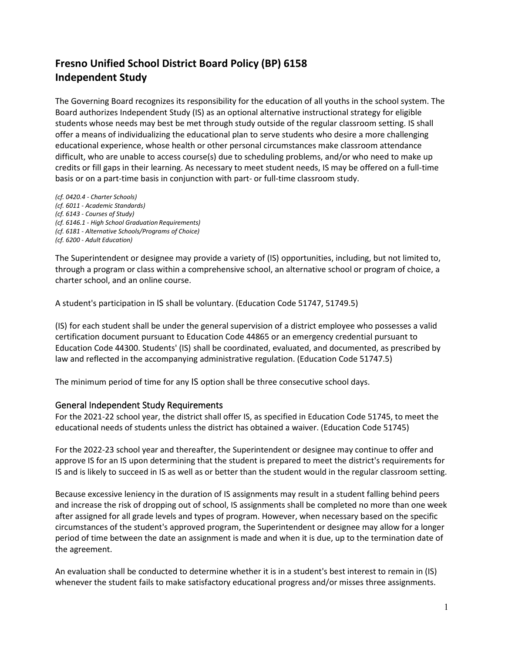# **Fresno Unified School District Board Policy (BP) 6158 Independent Study**

The Governing Board recognizes its responsibility for the education of all youths in the school system. The Board authorizes Independent Study (IS) as an optional alternative instructional strategy for eligible students whose needs may best be met through study outside of the regular classroom setting. IS shall offer a means of individualizing the educational plan to serve students who desire a more challenging educational experience, whose health or other personal circumstances make classroom attendance difficult, who are unable to access course(s) due to scheduling problems, and/or who need to make up credits or fill gaps in their learning. As necessary to meet student needs, IS may be offered on a full-time basis or on a part-time basis in conjunction with part- or full-time classroom study.

*(cf. 0420.4 - Charter Schools) (cf. 6011 - Academic Standards) (cf. 6143 - Courses of Study) (cf. 6146.1 - High School Graduation Requirements) (cf. 6181 - Alternative Schools/Programs of Choice) (cf. 6200 - Adult Education)*

The Superintendent or designee may provide a variety of (IS) opportunities, including, but not limited to, through a program or class within a comprehensive school, an alternative school or program of choice, a charter school, and an online course.

A student's participation in IS shall be voluntary. (Education Code 51747, 51749.5)

(IS) for each student shall be under the general supervision of a district employee who possesses a valid certification document pursuant to Education Code 44865 or an emergency credential pursuant to Education Code 44300. Students' (IS) shall be coordinated, evaluated, and documented, as prescribed by law and reflected in the accompanying administrative regulation. (Education Code 51747.5)

The minimum period of time for any IS option shall be three consecutive school days.

#### General Independent Study Requirements

For the 2021-22 school year, the district shall offer IS, as specified in Education Code 51745, to meet the educational needs of students unless the district has obtained a waiver. (Education Code 51745)

For the 2022-23 school year and thereafter, the Superintendent or designee may continue to offer and approve IS for an IS upon determining that the student is prepared to meet the district's requirements for IS and is likely to succeed in IS as well as or better than the student would in the regular classroom setting.

Because excessive leniency in the duration of IS assignments may result in a student falling behind peers and increase the risk of dropping out of school, IS assignments shall be completed no more than one week after assigned for all grade levels and types of program. However, when necessary based on the specific circumstances of the student's approved program, the Superintendent or designee may allow for a longer period of time between the date an assignment is made and when it is due, up to the termination date of the agreement.

An evaluation shall be conducted to determine whether it is in a student's best interest to remain in (IS) whenever the student fails to make satisfactory educational progress and/or misses three assignments.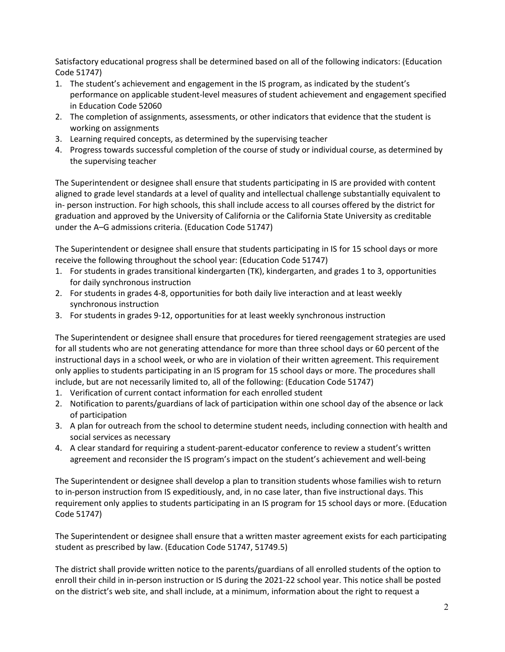Satisfactory educational progress shall be determined based on all of the following indicators: (Education Code 51747)

- 1. The student's achievement and engagement in the IS program, as indicated by the student's performance on applicable student-level measures of student achievement and engagement specified in Education Code 52060
- 2. The completion of assignments, assessments, or other indicators that evidence that the student is working on assignments
- 3. Learning required concepts, as determined by the supervising teacher
- 4. Progress towards successful completion of the course of study or individual course, as determined by the supervising teacher

The Superintendent or designee shall ensure that students participating in IS are provided with content aligned to grade level standards at a level of quality and intellectual challenge substantially equivalent to in- person instruction. For high schools, this shall include access to all courses offered by the district for graduation and approved by the University of California or the California State University as creditable under the A–G admissions criteria. (Education Code 51747)

The Superintendent or designee shall ensure that students participating in IS for 15 school days or more receive the following throughout the school year: (Education Code 51747)

- 1. For students in grades transitional kindergarten (TK), kindergarten, and grades 1 to 3, opportunities for daily synchronous instruction
- 2. For students in grades 4-8, opportunities for both daily live interaction and at least weekly synchronous instruction
- 3. For students in grades 9-12, opportunities for at least weekly synchronous instruction

The Superintendent or designee shall ensure that procedures for tiered reengagement strategies are used for all students who are not generating attendance for more than three school days or 60 percent of the instructional days in a school week, or who are in violation of their written agreement. This requirement only applies to students participating in an IS program for 15 school days or more. The procedures shall include, but are not necessarily limited to, all of the following: (Education Code 51747)

- 1. Verification of current contact information for each enrolled student
- 2. Notification to parents/guardians of lack of participation within one school day of the absence or lack of participation
- 3. A plan for outreach from the school to determine student needs, including connection with health and social services as necessary
- 4. A clear standard for requiring a student-parent-educator conference to review a student's written agreement and reconsider the IS program's impact on the student's achievement and well-being

The Superintendent or designee shall develop a plan to transition students whose families wish to return to in-person instruction from IS expeditiously, and, in no case later, than five instructional days. This requirement only applies to students participating in an IS program for 15 school days or more. (Education Code 51747)

The Superintendent or designee shall ensure that a written master agreement exists for each participating student as prescribed by law. (Education Code 51747, 51749.5)

The district shall provide written notice to the parents/guardians of all enrolled students of the option to enroll their child in in-person instruction or IS during the 2021-22 school year. This notice shall be posted on the district's web site, and shall include, at a minimum, information about the right to request a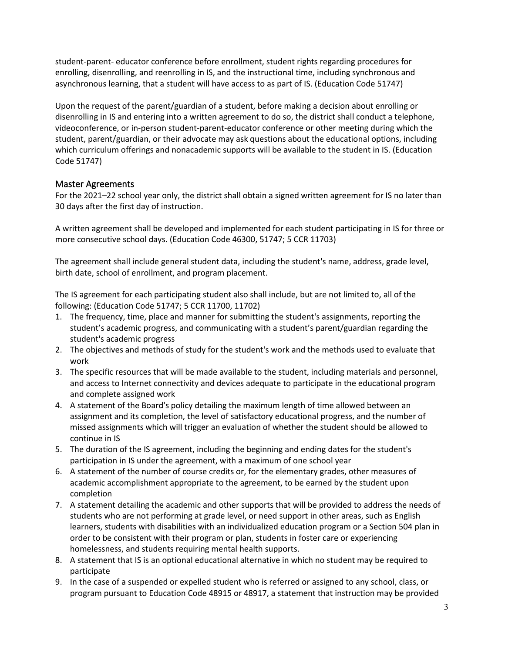student-parent- educator conference before enrollment, student rights regarding procedures for enrolling, disenrolling, and reenrolling in IS, and the instructional time, including synchronous and asynchronous learning, that a student will have access to as part of IS. (Education Code 51747)

Upon the request of the parent/guardian of a student, before making a decision about enrolling or disenrolling in IS and entering into a written agreement to do so, the district shall conduct a telephone, videoconference, or in-person student-parent-educator conference or other meeting during which the student, parent/guardian, or their advocate may ask questions about the educational options, including which curriculum offerings and nonacademic supports will be available to the student in IS. (Education Code 51747)

#### Master Agreements

For the 2021–22 school year only, the district shall obtain a signed written agreement for IS no later than 30 days after the first day of instruction.

A written agreement shall be developed and implemented for each student participating in IS for three or more consecutive school days. (Education Code 46300, 51747; 5 CCR 11703)

The agreement shall include general student data, including the student's name, address, grade level, birth date, school of enrollment, and program placement.

The IS agreement for each participating student also shall include, but are not limited to, all of the following: (Education Code 51747; 5 CCR 11700, 11702)

- 1. The frequency, time, place and manner for submitting the student's assignments, reporting the student's academic progress, and communicating with a student's parent/guardian regarding the student's academic progress
- 2. The objectives and methods of study for the student's work and the methods used to evaluate that work
- 3. The specific resources that will be made available to the student, including materials and personnel, and access to Internet connectivity and devices adequate to participate in the educational program and complete assigned work
- 4. A statement of the Board's policy detailing the maximum length of time allowed between an assignment and its completion, the level of satisfactory educational progress, and the number of missed assignments which will trigger an evaluation of whether the student should be allowed to continue in IS
- 5. The duration of the IS agreement, including the beginning and ending dates for the student's participation in IS under the agreement, with a maximum of one school year
- 6. A statement of the number of course credits or, for the elementary grades, other measures of academic accomplishment appropriate to the agreement, to be earned by the student upon completion
- 7. A statement detailing the academic and other supports that will be provided to address the needs of students who are not performing at grade level, or need support in other areas, such as English learners, students with disabilities with an individualized education program or a Section 504 plan in order to be consistent with their program or plan, students in foster care or experiencing homelessness, and students requiring mental health supports.
- 8. A statement that IS is an optional educational alternative in which no student may be required to participate
- 9. In the case of a suspended or expelled student who is referred or assigned to any school, class, or program pursuant to Education Code 48915 or 48917, a statement that instruction may be provided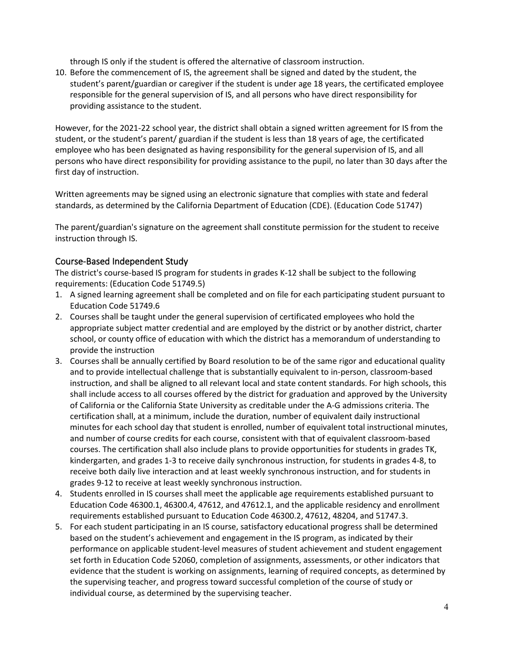through IS only if the student is offered the alternative of classroom instruction.

10. Before the commencement of IS, the agreement shall be signed and dated by the student, the student's parent/guardian or caregiver if the student is under age 18 years, the certificated employee responsible for the general supervision of IS, and all persons who have direct responsibility for providing assistance to the student.

However, for the 2021-22 school year, the district shall obtain a signed written agreement for IS from the student, or the student's parent/ guardian if the student is less than 18 years of age, the certificated employee who has been designated as having responsibility for the general supervision of IS, and all persons who have direct responsibility for providing assistance to the pupil, no later than 30 days after the first day of instruction.

Written agreements may be signed using an electronic signature that complies with state and federal standards, as determined by the California Department of Education (CDE). (Education Code 51747)

The parent/guardian's signature on the agreement shall constitute permission for the student to receive instruction through IS.

#### Course-Based Independent Study

The district's course-based IS program for students in grades K-12 shall be subject to the following requirements: (Education Code 51749.5)

- 1. A signed learning agreement shall be completed and on file for each participating student pursuant to Education Code 51749.6
- 2. Courses shall be taught under the general supervision of certificated employees who hold the appropriate subject matter credential and are employed by the district or by another district, charter school, or county office of education with which the district has a memorandum of understanding to provide the instruction
- 3. Courses shall be annually certified by Board resolution to be of the same rigor and educational quality and to provide intellectual challenge that is substantially equivalent to in-person, classroom-based instruction, and shall be aligned to all relevant local and state content standards. For high schools, this shall include access to all courses offered by the district for graduation and approved by the University of California or the California State University as creditable under the A-G admissions criteria. The certification shall, at a minimum, include the duration, number of equivalent daily instructional minutes for each school day that student is enrolled, number of equivalent total instructional minutes, and number of course credits for each course, consistent with that of equivalent classroom-based courses. The certification shall also include plans to provide opportunities for students in grades TK, kindergarten, and grades 1-3 to receive daily synchronous instruction, for students in grades 4-8, to receive both daily live interaction and at least weekly synchronous instruction, and for students in grades 9-12 to receive at least weekly synchronous instruction.
- 4. Students enrolled in IS courses shall meet the applicable age requirements established pursuant to Education Code 46300.1, 46300.4, 47612, and 47612.1, and the applicable residency and enrollment requirements established pursuant to Education Code 46300.2, 47612, 48204, and 51747.3.
- 5. For each student participating in an IS course, satisfactory educational progress shall be determined based on the student's achievement and engagement in the IS program, as indicated by their performance on applicable student-level measures of student achievement and student engagement set forth in Education Code 52060, completion of assignments, assessments, or other indicators that evidence that the student is working on assignments, learning of required concepts, as determined by the supervising teacher, and progress toward successful completion of the course of study or individual course, as determined by the supervising teacher.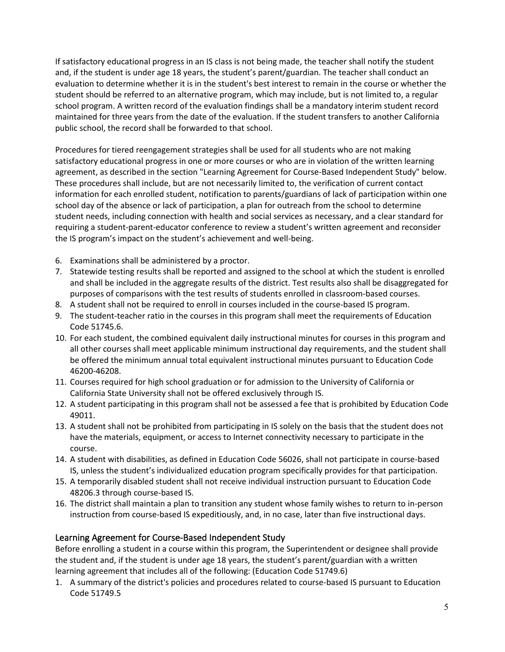If satisfactory educational progress in an IS class is not being made, the teacher shall notify the student and, if the student is under age 18 years, the student's parent/guardian. The teacher shall conduct an evaluation to determine whether it is in the student's best interest to remain in the course or whether the student should be referred to an alternative program, which may include, but is not limited to, a regular school program. A written record of the evaluation findings shall be a mandatory interim student record maintained for three years from the date of the evaluation. If the student transfers to another California public school, the record shall be forwarded to that school.

Procedures for tiered reengagement strategies shall be used for all students who are not making satisfactory educational progress in one or more courses or who are in violation of the written learning agreement, as described in the section "Learning Agreement for Course-Based Independent Study" below. These procedures shall include, but are not necessarily limited to, the verification of current contact information for each enrolled student, notification to parents/guardians of lack of participation within one school day of the absence or lack of participation, a plan for outreach from the school to determine student needs, including connection with health and social services as necessary, and a clear standard for requiring a student-parent-educator conference to review a student's written agreement and reconsider the IS program's impact on the student's achievement and well-being.

- 6. Examinations shall be administered by a proctor.
- 7. Statewide testing results shall be reported and assigned to the school at which the student is enrolled and shall be included in the aggregate results of the district. Test results also shall be disaggregated for purposes of comparisons with the test results of students enrolled in classroom-based courses.
- 8. A student shall not be required to enroll in courses included in the course-based IS program.
- 9. The student-teacher ratio in the courses in this program shall meet the requirements of Education Code 51745.6.
- 10. For each student, the combined equivalent daily instructional minutes for courses in this program and all other courses shall meet applicable minimum instructional day requirements, and the student shall be offered the minimum annual total equivalent instructional minutes pursuant to Education Code 46200-46208.
- 11. Courses required for high school graduation or for admission to the University of California or California State University shall not be offered exclusively through IS.
- 12. A student participating in this program shall not be assessed a fee that is prohibited by Education Code 49011.
- 13. A student shall not be prohibited from participating in IS solely on the basis that the student does not have the materials, equipment, or access to Internet connectivity necessary to participate in the course.
- 14. A student with disabilities, as defined in Education Code 56026, shall not participate in course-based IS, unless the student's individualized education program specifically provides for that participation.
- 15. A temporarily disabled student shall not receive individual instruction pursuant to Education Code 48206.3 through course-based IS.
- 16. The district shall maintain a plan to transition any student whose family wishes to return to in-person instruction from course-based IS expeditiously, and, in no case, later than five instructional days.

#### Learning Agreement for Course-Based Independent Study

Before enrolling a student in a course within this program, the Superintendent or designee shall provide the student and, if the student is under age 18 years, the student's parent/guardian with a written learning agreement that includes all of the following: (Education Code 51749.6)

1. A summary of the district's policies and procedures related to course-based IS pursuant to Education Code 51749.5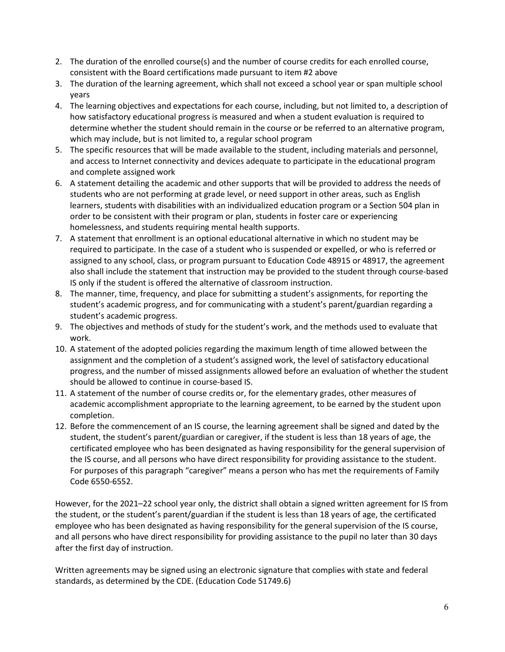- 2. The duration of the enrolled course(s) and the number of course credits for each enrolled course, consistent with the Board certifications made pursuant to item #2 above
- 3. The duration of the learning agreement, which shall not exceed a school year or span multiple school years
- 4. The learning objectives and expectations for each course, including, but not limited to, a description of how satisfactory educational progress is measured and when a student evaluation is required to determine whether the student should remain in the course or be referred to an alternative program, which may include, but is not limited to, a regular school program
- 5. The specific resources that will be made available to the student, including materials and personnel, and access to Internet connectivity and devices adequate to participate in the educational program and complete assigned work
- 6. A statement detailing the academic and other supports that will be provided to address the needs of students who are not performing at grade level, or need support in other areas, such as English learners, students with disabilities with an individualized education program or a Section 504 plan in order to be consistent with their program or plan, students in foster care or experiencing homelessness, and students requiring mental health supports.
- 7. A statement that enrollment is an optional educational alternative in which no student may be required to participate. In the case of a student who is suspended or expelled, or who is referred or assigned to any school, class, or program pursuant to Education Code 48915 or 48917, the agreement also shall include the statement that instruction may be provided to the student through course-based IS only if the student is offered the alternative of classroom instruction.
- 8. The manner, time, frequency, and place for submitting a student's assignments, for reporting the student's academic progress, and for communicating with a student's parent/guardian regarding a student's academic progress.
- 9. The objectives and methods of study for the student's work, and the methods used to evaluate that work.
- 10. A statement of the adopted policies regarding the maximum length of time allowed between the assignment and the completion of a student's assigned work, the level of satisfactory educational progress, and the number of missed assignments allowed before an evaluation of whether the student should be allowed to continue in course-based IS.
- 11. A statement of the number of course credits or, for the elementary grades, other measures of academic accomplishment appropriate to the learning agreement, to be earned by the student upon completion.
- 12. Before the commencement of an IS course, the learning agreement shall be signed and dated by the student, the student's parent/guardian or caregiver, if the student is less than 18 years of age, the certificated employee who has been designated as having responsibility for the general supervision of the IS course, and all persons who have direct responsibility for providing assistance to the student. For purposes of this paragraph "caregiver" means a person who has met the requirements of Family Code 6550-6552.

However, for the 2021–22 school year only, the district shall obtain a signed written agreement for IS from the student, or the student's parent/guardian if the student is less than 18 years of age, the certificated employee who has been designated as having responsibility for the general supervision of the IS course, and all persons who have direct responsibility for providing assistance to the pupil no later than 30 days after the first day of instruction.

Written agreements may be signed using an electronic signature that complies with state and federal standards, as determined by the CDE. (Education Code 51749.6)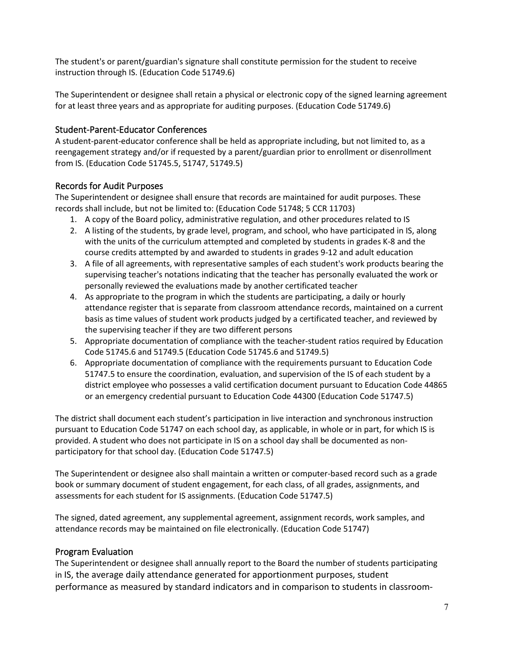The student's or parent/guardian's signature shall constitute permission for the student to receive instruction through IS. (Education Code 51749.6)

The Superintendent or designee shall retain a physical or electronic copy of the signed learning agreement for at least three years and as appropriate for auditing purposes. (Education Code 51749.6)

### Student-Parent-Educator Conferences

A student-parent-educator conference shall be held as appropriate including, but not limited to, as a reengagement strategy and/or if requested by a parent/guardian prior to enrollment or disenrollment from IS. (Education Code 51745.5, 51747, 51749.5)

## Records for Audit Purposes

The Superintendent or designee shall ensure that records are maintained for audit purposes. These records shall include, but not be limited to: (Education Code 51748; 5 CCR 11703)

- 1. A copy of the Board policy, administrative regulation, and other procedures related to IS
- 2. A listing of the students, by grade level, program, and school, who have participated in IS, along with the units of the curriculum attempted and completed by students in grades K-8 and the course credits attempted by and awarded to students in grades 9-12 and adult education
- 3. A file of all agreements, with representative samples of each student's work products bearing the supervising teacher's notations indicating that the teacher has personally evaluated the work or personally reviewed the evaluations made by another certificated teacher
- 4. As appropriate to the program in which the students are participating, a daily or hourly attendance register that is separate from classroom attendance records, maintained on a current basis as time values of student work products judged by a certificated teacher, and reviewed by the supervising teacher if they are two different persons
- 5. Appropriate documentation of compliance with the teacher-student ratios required by Education Code 51745.6 and 51749.5 (Education Code 51745.6 and 51749.5)
- 6. Appropriate documentation of compliance with the requirements pursuant to Education Code 51747.5 to ensure the coordination, evaluation, and supervision of the IS of each student by a district employee who possesses a valid certification document pursuant to Education Code 44865 or an emergency credential pursuant to Education Code 44300 (Education Code 51747.5)

The district shall document each student's participation in live interaction and synchronous instruction pursuant to Education Code 51747 on each school day, as applicable, in whole or in part, for which IS is provided. A student who does not participate in IS on a school day shall be documented as nonparticipatory for that school day. (Education Code 51747.5)

The Superintendent or designee also shall maintain a written or computer-based record such as a grade book or summary document of student engagement, for each class, of all grades, assignments, and assessments for each student for IS assignments. (Education Code 51747.5)

The signed, dated agreement, any supplemental agreement, assignment records, work samples, and attendance records may be maintained on file electronically. (Education Cod[e 51747\)](http://www.fresnounified.org/board/policies/Policies/fusd/displaypolicy/132742/6.htm)

#### Program Evaluation

The Superintendent or designee shall annually report to the Board the number of students participating in IS, the average daily attendance generated for apportionment purposes, student performance as measured by standard indicators and in comparison to students in classroom